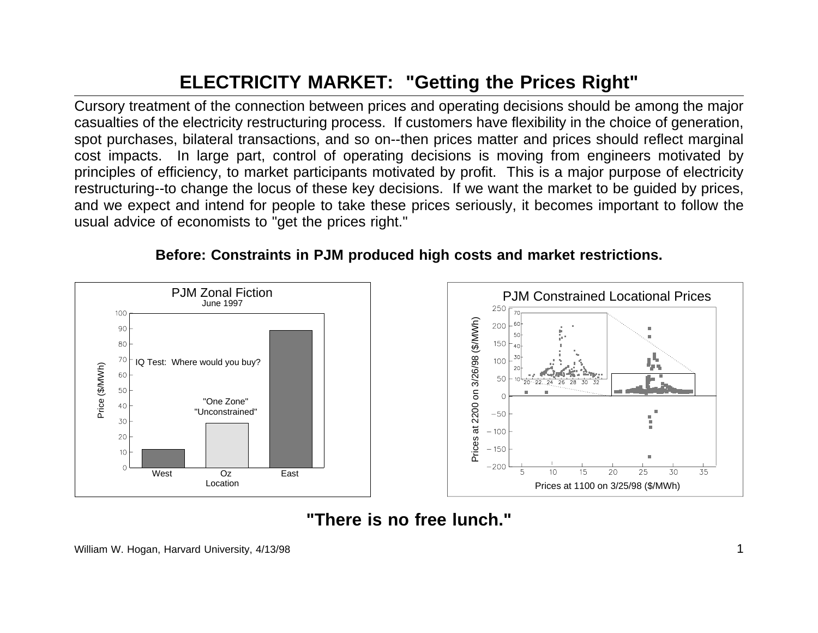## **ELECTRICITY MARKET: "Getting the Prices Right"**

Cursory treatment of the connection between prices and operating decisions should be among the major casualties of the electricity restructuring process. If customers have flexibility in the choice of generation, spot purchases, bilateral transactions, and so on--then prices matter and prices should reflect marginal cost impacts. In large part, control of operating decisions is moving from engineers motivated by principles of efficiency, to market participants motivated by profit. This is <sup>a</sup> major purpose of electricity restructuring--to change the locus of these key decisions. If we want the market to be guided by prices, and we expect and intend for people to take these prices seriously, it becomes important to follow the usual advice of economists to "get the prices right."



## **Before: Constraints in PJM produced high costs and market restrictions.**

## **"There is no free lunch."**